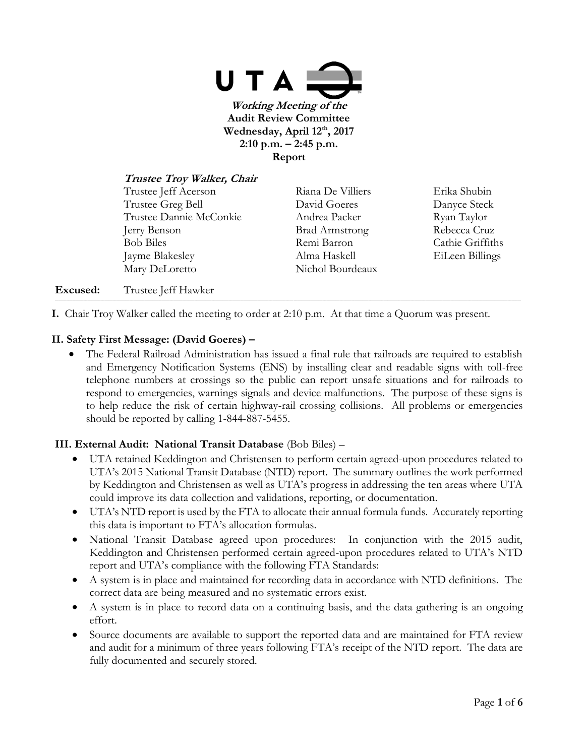

**Trustee Troy Walker, Chair** Trustee Jeff Acerson Riana De Villiers Erika Shubin Trustee Greg Bell David Goeres Danyce Steck Trustee Dannie McConkie Andrea Packer Ryan Taylor Jerry Benson Brad Armstrong Rebecca Cruz Bob Biles **Remi Barron** Cathie Griffiths Jayme Blakesley Alma Haskell EiLeen Billings Mary DeLoretto Nichol Bourdeaux

## **Excused:** Trustee Jeff Hawker

**I.** Chair Troy Walker called the meeting to order at 2:10 p.m. At that time a Quorum was present.

,一个人的人都是不是,我们的人都是不是,我们的人都是不是,我们的人都是不是,我们的人都是不是,我们的人都是不是,我们的人都是不是,我们的人都是不是,我们的人都是不

## **II. Safety First Message: (David Goeres) –**

 The Federal Railroad Administration has issued a final rule that railroads are required to establish and Emergency Notification Systems (ENS) by installing clear and readable signs with toll-free telephone numbers at crossings so the public can report unsafe situations and for railroads to respond to emergencies, warnings signals and device malfunctions. The purpose of these signs is to help reduce the risk of certain highway-rail crossing collisions. All problems or emergencies should be reported by calling 1-844-887-5455.

## **III. External Audit: National Transit Database** (Bob Biles) –

- UTA retained Keddington and Christensen to perform certain agreed-upon procedures related to UTA's 2015 National Transit Database (NTD) report. The summary outlines the work performed by Keddington and Christensen as well as UTA's progress in addressing the ten areas where UTA could improve its data collection and validations, reporting, or documentation.
- UTA's NTD report is used by the FTA to allocate their annual formula funds. Accurately reporting this data is important to FTA's allocation formulas.
- National Transit Database agreed upon procedures: In conjunction with the 2015 audit, Keddington and Christensen performed certain agreed-upon procedures related to UTA's NTD report and UTA's compliance with the following FTA Standards:
- A system is in place and maintained for recording data in accordance with NTD definitions. The correct data are being measured and no systematic errors exist.
- A system is in place to record data on a continuing basis, and the data gathering is an ongoing effort.
- Source documents are available to support the reported data and are maintained for FTA review and audit for a minimum of three years following FTA's receipt of the NTD report. The data are fully documented and securely stored.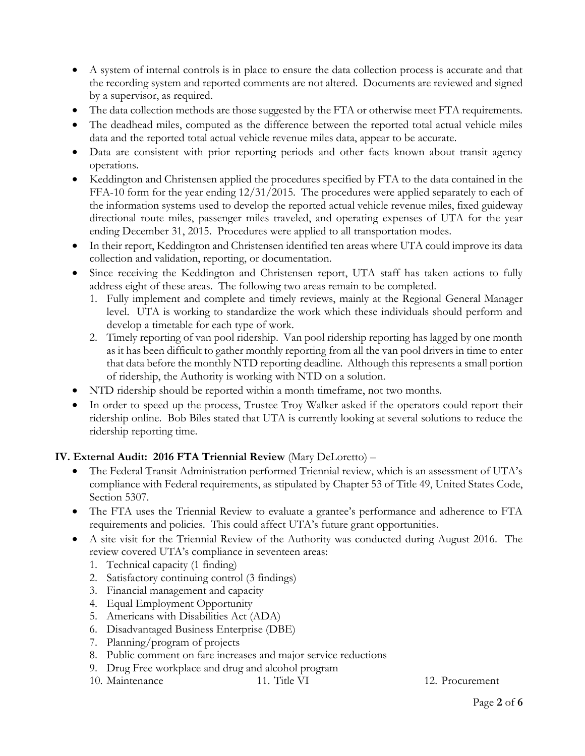- A system of internal controls is in place to ensure the data collection process is accurate and that the recording system and reported comments are not altered. Documents are reviewed and signed by a supervisor, as required.
- The data collection methods are those suggested by the FTA or otherwise meet FTA requirements.
- The deadhead miles, computed as the difference between the reported total actual vehicle miles data and the reported total actual vehicle revenue miles data, appear to be accurate.
- Data are consistent with prior reporting periods and other facts known about transit agency operations.
- Keddington and Christensen applied the procedures specified by FTA to the data contained in the FFA-10 form for the year ending 12/31/2015. The procedures were applied separately to each of the information systems used to develop the reported actual vehicle revenue miles, fixed guideway directional route miles, passenger miles traveled, and operating expenses of UTA for the year ending December 31, 2015. Procedures were applied to all transportation modes.
- In their report, Keddington and Christensen identified ten areas where UTA could improve its data collection and validation, reporting, or documentation.
- Since receiving the Keddington and Christensen report, UTA staff has taken actions to fully address eight of these areas. The following two areas remain to be completed.
	- 1. Fully implement and complete and timely reviews, mainly at the Regional General Manager level. UTA is working to standardize the work which these individuals should perform and develop a timetable for each type of work.
	- 2. Timely reporting of van pool ridership. Van pool ridership reporting has lagged by one month as it has been difficult to gather monthly reporting from all the van pool drivers in time to enter that data before the monthly NTD reporting deadline. Although this represents a small portion of ridership, the Authority is working with NTD on a solution.
- NTD ridership should be reported within a month timeframe, not two months.
- In order to speed up the process, Trustee Troy Walker asked if the operators could report their ridership online. Bob Biles stated that UTA is currently looking at several solutions to reduce the ridership reporting time.

## **IV. External Audit: 2016 FTA Triennial Review** (Mary DeLoretto) –

- The Federal Transit Administration performed Triennial review, which is an assessment of UTA's compliance with Federal requirements, as stipulated by Chapter 53 of Title 49, United States Code, Section 5307.
- The FTA uses the Triennial Review to evaluate a grantee's performance and adherence to FTA requirements and policies. This could affect UTA's future grant opportunities.
- A site visit for the Triennial Review of the Authority was conducted during August 2016. The review covered UTA's compliance in seventeen areas:
	- 1. Technical capacity (1 finding)
	- 2. Satisfactory continuing control (3 findings)
	- 3. Financial management and capacity
	- 4. Equal Employment Opportunity
	- 5. Americans with Disabilities Act (ADA)
	- 6. Disadvantaged Business Enterprise (DBE)
	- 7. Planning/program of projects
	- 8. Public comment on fare increases and major service reductions
	- 9. Drug Free workplace and drug and alcohol program
	- 10. Maintenance 11. Title VI 12. Procurement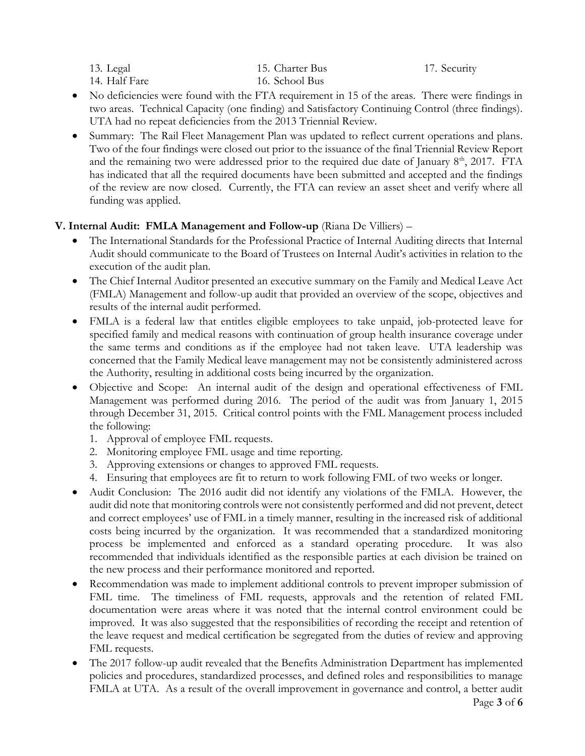| 13. Legal     |  |
|---------------|--|
| 14. Half Fare |  |

15. Charter Bus 16. School Bus

17. Security

- No deficiencies were found with the FTA requirement in 15 of the areas. There were findings in two areas. Technical Capacity (one finding) and Satisfactory Continuing Control (three findings). UTA had no repeat deficiencies from the 2013 Triennial Review.
- Summary: The Rail Fleet Management Plan was updated to reflect current operations and plans. Two of the four findings were closed out prior to the issuance of the final Triennial Review Report and the remaining two were addressed prior to the required due date of January  $8<sup>th</sup>$ , 2017. FTA has indicated that all the required documents have been submitted and accepted and the findings of the review are now closed. Currently, the FTA can review an asset sheet and verify where all funding was applied.

# **V. Internal Audit: FMLA Management and Follow-up** (Riana De Villiers) –

- The International Standards for the Professional Practice of Internal Auditing directs that Internal Audit should communicate to the Board of Trustees on Internal Audit's activities in relation to the execution of the audit plan.
- The Chief Internal Auditor presented an executive summary on the Family and Medical Leave Act (FMLA) Management and follow-up audit that provided an overview of the scope, objectives and results of the internal audit performed.
- FMLA is a federal law that entitles eligible employees to take unpaid, job-protected leave for specified family and medical reasons with continuation of group health insurance coverage under the same terms and conditions as if the employee had not taken leave. UTA leadership was concerned that the Family Medical leave management may not be consistently administered across the Authority, resulting in additional costs being incurred by the organization.
- Objective and Scope: An internal audit of the design and operational effectiveness of FML Management was performed during 2016. The period of the audit was from January 1, 2015 through December 31, 2015. Critical control points with the FML Management process included the following:
	- 1. Approval of employee FML requests.
	- 2. Monitoring employee FML usage and time reporting.
	- 3. Approving extensions or changes to approved FML requests.
	- 4. Ensuring that employees are fit to return to work following FML of two weeks or longer.
- Audit Conclusion: The 2016 audit did not identify any violations of the FMLA. However, the audit did note that monitoring controls were not consistently performed and did not prevent, detect and correct employees' use of FML in a timely manner, resulting in the increased risk of additional costs being incurred by the organization. It was recommended that a standardized monitoring process be implemented and enforced as a standard operating procedure. It was also recommended that individuals identified as the responsible parties at each division be trained on the new process and their performance monitored and reported.
- Recommendation was made to implement additional controls to prevent improper submission of FML time. The timeliness of FML requests, approvals and the retention of related FML documentation were areas where it was noted that the internal control environment could be improved. It was also suggested that the responsibilities of recording the receipt and retention of the leave request and medical certification be segregated from the duties of review and approving FML requests.
- The 2017 follow-up audit revealed that the Benefits Administration Department has implemented policies and procedures, standardized processes, and defined roles and responsibilities to manage FMLA at UTA. As a result of the overall improvement in governance and control, a better audit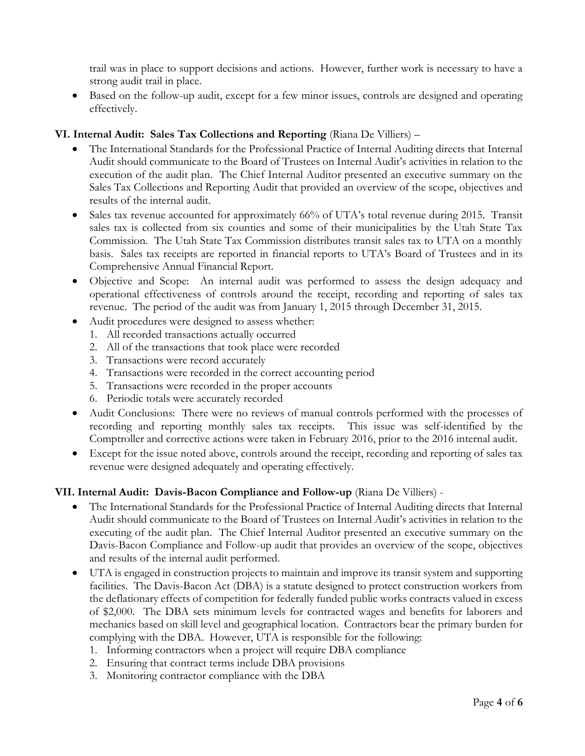trail was in place to support decisions and actions. However, further work is necessary to have a strong audit trail in place.

 Based on the follow-up audit, except for a few minor issues, controls are designed and operating effectively.

## **VI. Internal Audit: Sales Tax Collections and Reporting** (Riana De Villiers) –

- The International Standards for the Professional Practice of Internal Auditing directs that Internal Audit should communicate to the Board of Trustees on Internal Audit's activities in relation to the execution of the audit plan. The Chief Internal Auditor presented an executive summary on the Sales Tax Collections and Reporting Audit that provided an overview of the scope, objectives and results of the internal audit.
- Sales tax revenue accounted for approximately 66% of UTA's total revenue during 2015. Transit sales tax is collected from six counties and some of their municipalities by the Utah State Tax Commission. The Utah State Tax Commission distributes transit sales tax to UTA on a monthly basis. Sales tax receipts are reported in financial reports to UTA's Board of Trustees and in its Comprehensive Annual Financial Report.
- Objective and Scope: An internal audit was performed to assess the design adequacy and operational effectiveness of controls around the receipt, recording and reporting of sales tax revenue. The period of the audit was from January 1, 2015 through December 31, 2015.
- Audit procedures were designed to assess whether:
	- 1. All recorded transactions actually occurred
	- 2. All of the transactions that took place were recorded
	- 3. Transactions were record accurately
	- 4. Transactions were recorded in the correct accounting period
	- 5. Transactions were recorded in the proper accounts
	- 6. Periodic totals were accurately recorded
- Audit Conclusions: There were no reviews of manual controls performed with the processes of recording and reporting monthly sales tax receipts. This issue was self-identified by the Comptroller and corrective actions were taken in February 2016, prior to the 2016 internal audit.
- Except for the issue noted above, controls around the receipt, recording and reporting of sales tax revenue were designed adequately and operating effectively.

## **VII. Internal Audit: Davis-Bacon Compliance and Follow-up** (Riana De Villiers) -

- The International Standards for the Professional Practice of Internal Auditing directs that Internal Audit should communicate to the Board of Trustees on Internal Audit's activities in relation to the executing of the audit plan. The Chief Internal Auditor presented an executive summary on the Davis-Bacon Compliance and Follow-up audit that provides an overview of the scope, objectives and results of the internal audit performed.
- UTA is engaged in construction projects to maintain and improve its transit system and supporting facilities. The Davis-Bacon Act (DBA) is a statute designed to protect construction workers from the deflationary effects of competition for federally funded public works contracts valued in excess of \$2,000. The DBA sets minimum levels for contracted wages and benefits for laborers and mechanics based on skill level and geographical location. Contractors bear the primary burden for complying with the DBA. However, UTA is responsible for the following:
	- 1. Informing contractors when a project will require DBA compliance
	- 2. Ensuring that contract terms include DBA provisions
	- 3. Monitoring contractor compliance with the DBA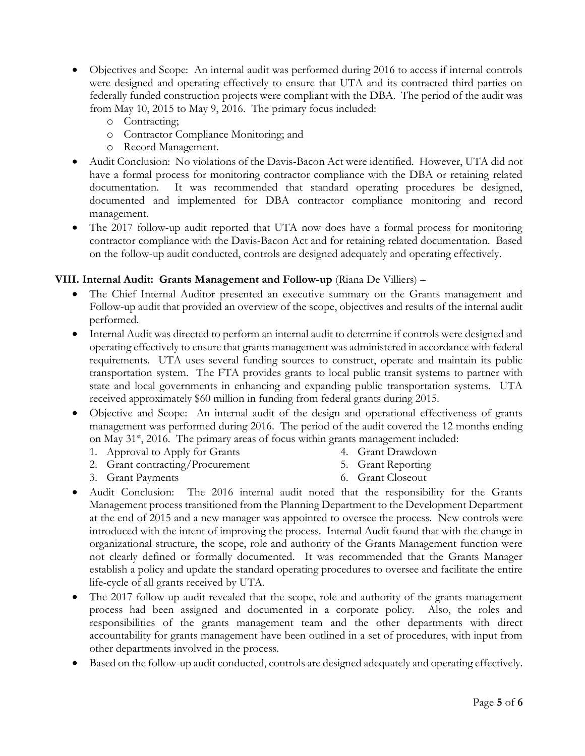- Objectives and Scope: An internal audit was performed during 2016 to access if internal controls were designed and operating effectively to ensure that UTA and its contracted third parties on federally funded construction projects were compliant with the DBA. The period of the audit was from May 10, 2015 to May 9, 2016. The primary focus included:
	- o Contracting;
	- o Contractor Compliance Monitoring; and
	- o Record Management.
- Audit Conclusion: No violations of the Davis-Bacon Act were identified. However, UTA did not have a formal process for monitoring contractor compliance with the DBA or retaining related documentation. It was recommended that standard operating procedures be designed, documented and implemented for DBA contractor compliance monitoring and record management.
- The 2017 follow-up audit reported that UTA now does have a formal process for monitoring contractor compliance with the Davis-Bacon Act and for retaining related documentation. Based on the follow-up audit conducted, controls are designed adequately and operating effectively.

## **VIII. Internal Audit: Grants Management and Follow-up** (Riana De Villiers) –

- The Chief Internal Auditor presented an executive summary on the Grants management and Follow-up audit that provided an overview of the scope, objectives and results of the internal audit performed.
- Internal Audit was directed to perform an internal audit to determine if controls were designed and operating effectively to ensure that grants management was administered in accordance with federal requirements. UTA uses several funding sources to construct, operate and maintain its public transportation system. The FTA provides grants to local public transit systems to partner with state and local governments in enhancing and expanding public transportation systems. UTA received approximately \$60 million in funding from federal grants during 2015.
- Objective and Scope: An internal audit of the design and operational effectiveness of grants management was performed during 2016. The period of the audit covered the 12 months ending on May  $31<sup>st</sup>$ , 2016. The primary areas of focus within grants management included:
	- 1. Approval to Apply for Grants

4. Grant Drawdown

2. Grant contracting/Procurement

5. Grant Reporting

3. Grant Payments

- 6. Grant Closeout
- Audit Conclusion: The 2016 internal audit noted that the responsibility for the Grants Management process transitioned from the Planning Department to the Development Department at the end of 2015 and a new manager was appointed to oversee the process. New controls were introduced with the intent of improving the process. Internal Audit found that with the change in organizational structure, the scope, role and authority of the Grants Management function were not clearly defined or formally documented. It was recommended that the Grants Manager establish a policy and update the standard operating procedures to oversee and facilitate the entire life-cycle of all grants received by UTA.
- The 2017 follow-up audit revealed that the scope, role and authority of the grants management process had been assigned and documented in a corporate policy. Also, the roles and responsibilities of the grants management team and the other departments with direct accountability for grants management have been outlined in a set of procedures, with input from other departments involved in the process.
- Based on the follow-up audit conducted, controls are designed adequately and operating effectively.